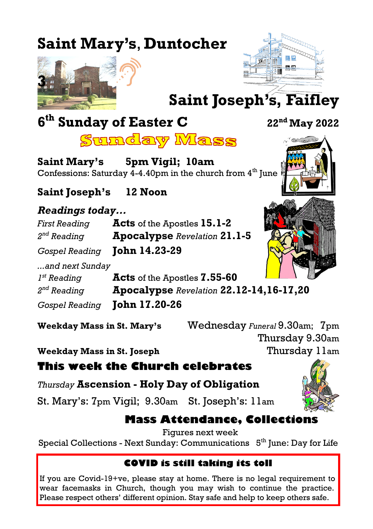# **Saint Mary's**, **Duntocher**





**Saint Joseph's, Faifley**

# **6 th Sunday of Easter C <sup>22</sup>nd May 2022**



<u>Sunday Mass</u>

**Saint Mary's 5pm Vigil; 10am** Confessions: Saturday 4-4.40pm in the church from  $4<sup>th</sup>$  June  $\frac{1}{3}$ 

**Saint Joseph's 12 Noon**

#### *Readings today...*

*First Reading* **Acts** of the Apostles **15.1-2**  $2<sup>nd</sup>$  Reading *nd Reading* **Apocalypse** *Revelation* **21.1-5**

*Gospel Reading* **John 14.23-29**

*...and next Sunday*  $I^{st}$  Reading

*st Reading* **Acts** of the Apostles **7.55-60**  $2<sup>nd</sup>$  Reading *nd Reading* **Apocalypse** *Revelation* **22.12-14,16-17,20** *Gospel Reading* **John 17.20-26**

**Weekday Mass in St. Mary's** Wednesday *Funeral* 9.30am;7pm Thursday 9.30am **Weekday Mass in St. Joseph** Thursday 11am

**This week the Church celebrates**

*Thursday* **Ascension - Holy Day of Obligation**

St. Mary's: 7pm Vigil; 9.30am St. Joseph's: 11am



**Mass Attendance, Collections**

Figures next week

Special Collections - Next Sunday: Communications 5<sup>th</sup> June: Day for Life

#### **COVID is still taking its toll**

If you are Covid-19+ve, please stay at home. There is no legal requirement to wear facemasks in Church, though you may wish to continue the practice. Please respect others' different opinion. Stay safe and help to keep others safe.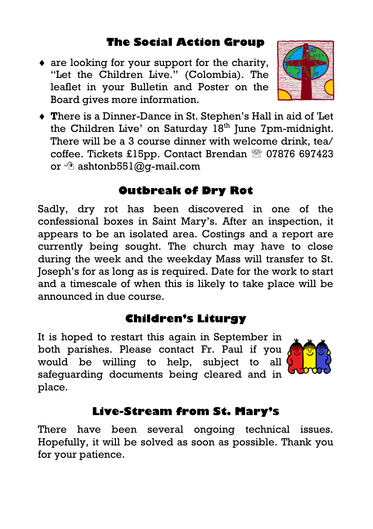### **The Social Action Group**

 $\bullet$  are looking for your support for the charity, "Let the Children Live." (Colombia). The leaflet in your Bulletin and Poster on the Board gives more information.



 **T**here is a Dinner-Dance in St. Stephen's Hall in aid of 'Let the Children Live' on Saturday  $18<sup>th</sup>$  June 7pm-midnight. There will be a 3 course dinner with welcome drink, tea/ coffee. Tickets £15pp. Contact Brendan  $\hat{=}$  07876 697423 or  $\hat{\phi}$  ashtonb551@q-mail.com

#### **Outbreak of Dry Rot**

Sadly, dry rot has been discovered in one of the confessional boxes in Saint Mary's. After an inspection, it appears to be an isolated area. Costings and a report are currently being sought. The church may have to close during the week and the weekday Mass will transfer to St. Joseph's for as long as is required. Date for the work to start and a timescale of when this is likely to take place will be announced in due course.

#### **Children's Liturgy**

It is hoped to restart this again in September in both parishes. Please contact Fr. Paul if you would be willing to help, subject to all safeguarding documents being cleared and in place.



## **Live-Stream from St. Mary's**

There have been several ongoing technical issues. Hopefully, it will be solved as soon as possible. Thank you for your patience.